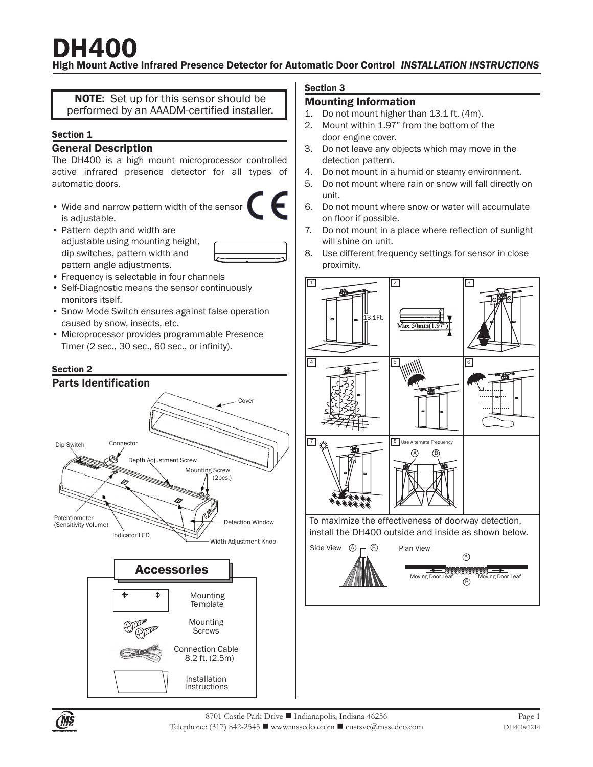#### High Mount Active Infrared Presence Detector for Automatic Door Control *INSTALLATION INSTRUCTIONS*

NOTE: Set up for this sensor should be performed by an AAADM-certified installer.

#### Section 1

#### General Description

The DH400 is a high mount microprocessor controlled active infrared presence detector for all types of automatic doors.

- Wide and narrow pattern width of the sensor is adjustable.
- Pattern depth and width are adjustable using mounting height, dip switches, pattern width and pattern angle adjustments.
- Frequency is selectable in four channels
- Self-Diagnostic means the sensor continuously monitors itself.
- Snow Mode Switch ensures against false operation caused by snow, insects, etc.
- Microprocessor provides programmable Presence Timer (2 sec., 30 sec., 60 sec., or infinity).

#### Section 2



Mounting **Screws** Connection Cable 8.2 ft. (2.5m)

> **Instructions** Installation

#### Section 3

#### Mounting Information

- 1. Do not mount higher than 13.1 ft. (4m).
- 2. Mount within 1.97" from the bottom of the door engine cover.
- 3. Do not leave any objects which may move in the detection pattern.
- 4. Do not mount in a humid or steamy environment.
- 5. Do not mount where rain or snow will fall directly on unit.
- 6. Do not mount where snow or water will accumulate on floor if possible.
- 7. Do not mount in a place where reflection of sunlight will shine on unit.
- 8. Use different frequency settings for sensor in close proximity.

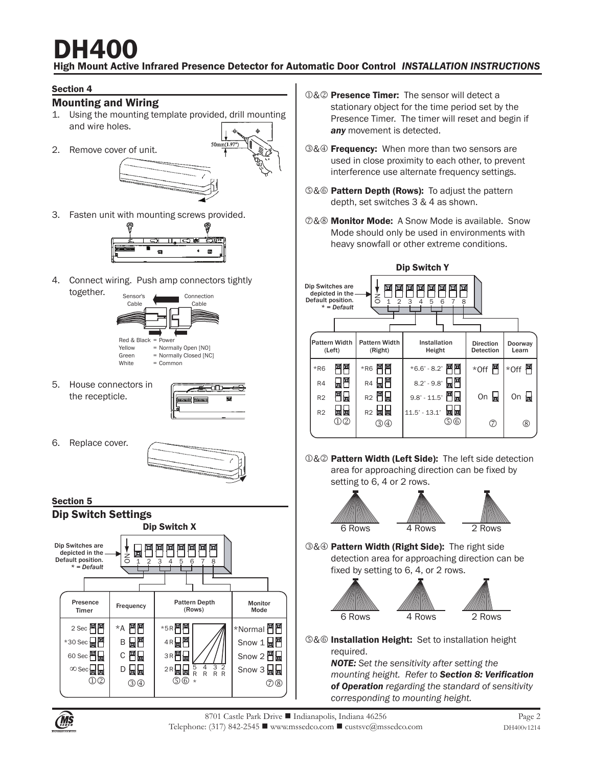#### High Mount Active Infrared Presence Detector for Automatic Door Control *INSTALLATION INSTRUCTIONS*

#### Section 4

#### Mounting and Wiring

- 1. Using the mounting template provided, drill mounting and wire holes.
- 2. Remove cover of unit.



3. Fasten unit with mounting screws provided.



4. Connect wiring. Push amp connectors tightly together.



5. House connectors in the recepticle.



6. Replace cover.





- **O& Presence Timer:** The sensor will detect a stationary object for the time period set by the Presence Timer. The timer will reset and begin if *any* movement is detected.
- 3& Frequency: When more than two sensors are used in close proximity to each other, to prevent interference use alternate frequency settings.
- **6& Pattern Depth (Rows):** To adjust the pattern depth, set switches 3 & 4 as shown.
- **@&® Monitor Mode:** A Snow Mode is available. Snow Mode should only be used in environments with heavy snowfall or other extreme conditions.



**O&2** Pattern Width (Left Side): The left side detection area for approaching direction can be fixed by setting to 6, 4 or 2 rows.





**3& Pattern Width (Right Side):** The right side detection area for approaching direction can be fixed by setting to 6, 4, or 2 rows.





- 
- **S&© Installation Height:** Set to installation height required.

*NOTE: Set the sensitivity after setting the mounting height. Refer to Section 8: Verification of Operation regarding the standard of sensitivity corresponding to mounting height.*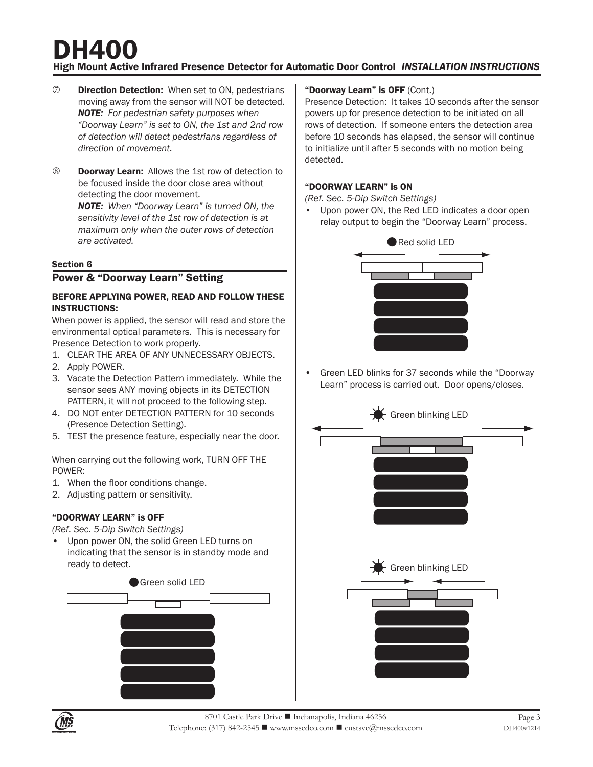## High Mount Active Infrared Presence Detector for Automatic Door Control *INSTALLATION INSTRUCTIONS* DH400

- $\oslash$  **Direction Detection:** When set to ON, pedestrians moving away from the sensor will NOT be detected. *NOTE: For pedestrian safety purposes when "Doorway Learn" is set to ON, the 1st and 2nd row of detection will detect pedestrians regardless of direction of movement.*
- **8** Doorway Learn: Allows the 1st row of detection to be focused inside the door close area without detecting the door movement.

*NOTE: When "Doorway Learn" is turned ON, the sensitivity level of the 1st row of detection is at maximum only when the outer rows of detection are activated.* 

#### Section 6

#### Power & "Doorway Learn" Setting

#### BEFORE APPLYING POWER, READ AND FOLLOW THESE INSTRUCTIONS:

When power is applied, the sensor will read and store the environmental optical parameters. This is necessary for Presence Detection to work properly.

- 1. CLEAR THE AREA OF ANY UNNECESSARY OBJECTS.
- 2. Apply POWER.
- 3. Vacate the Detection Pattern immediately. While the sensor sees ANY moving objects in its DETECTION PATTERN, it will not proceed to the following step.
- 4. DO NOT enter DETECTION PATTERN for 10 seconds (Presence Detection Setting).
- 5. TEST the presence feature, especially near the door.

When carrying out the following work, TURN OFF THE POWER:

- 1. When the floor conditions change.
- 2. Adjusting pattern or sensitivity.

#### "DOORWAY LEARN" is OFF

*(Ref. Sec. 5-Dip Switch Settings)*

Upon power ON, the solid Green LED turns on indicating that the sensor is in standby mode and ready to detect.



#### "Doorway Learn" is OFF (Cont.)

Presence Detection: It takes 10 seconds after the sensor powers up for presence detection to be initiated on all rows of detection. If someone enters the detection area before 10 seconds has elapsed, the sensor will continue to initialize until after 5 seconds with no motion being detected.

#### "DOORWAY LEARN" is ON

*(Ref. Sec. 5-Dip Switch Settings)*

Upon power ON, the Red LED indicates a door open relay output to begin the "Doorway Learn" process.



• Green LED blinks for 37 seconds while the "Doorway Learn" process is carried out. Door opens/closes.



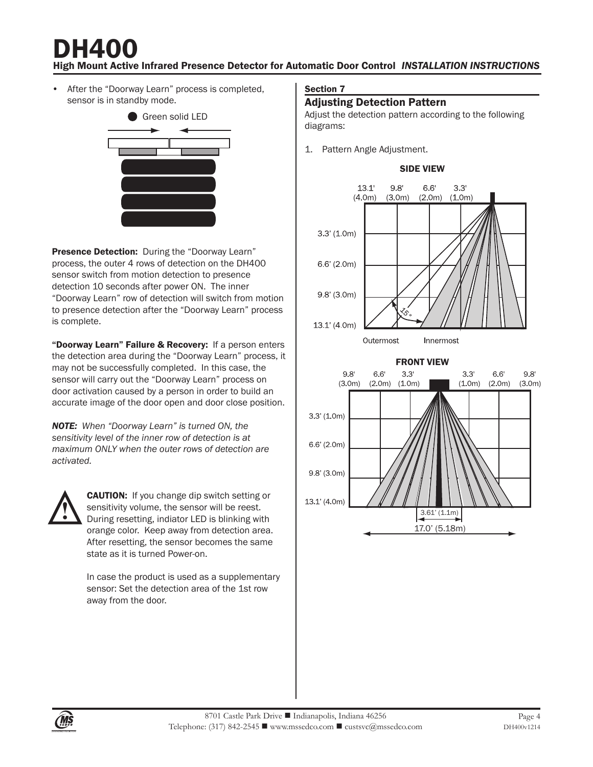## High Mount Active Infrared Presence Detector for Automatic Door Control *INSTALLATION INSTRUCTIONS* DH40

After the "Doorway Learn" process is completed, sensor is in standby mode.



Presence Detection: During the "Doorway Learn" process, the outer 4 rows of detection on the DH400 sensor switch from motion detection to presence detection 10 seconds after power ON. The inner "Doorway Learn" row of detection will switch from motion to presence detection after the "Doorway Learn" process is complete.

"Doorway Learn" Failure & Recovery: If a person enters the detection area during the "Doorway Learn" process, it may not be successfully completed. In this case, the sensor will carry out the "Doorway Learn" process on door activation caused by a person in order to build an accurate image of the door open and door close position.

*NOTE: When "Doorway Learn" is turned ON, the sensitivity level of the inner row of detection is at maximum ONLY when the outer rows of detection are activated.*



**CAUTION:** If you change dip switch setting or sensitivity volume, the sensor will be reest. During resetting, indiator LED is blinking with orange color. Keep away from detection area. After resetting, the sensor becomes the same state as it is turned Power-on.

In case the product is used as a supplementary sensor: Set the detection area of the 1st row away from the door.

#### Section 7

#### **Adjusting Detection Pattern**

Adjust the detection pattern according to the following diagrams:

1. Pattern Angle Adjustment.







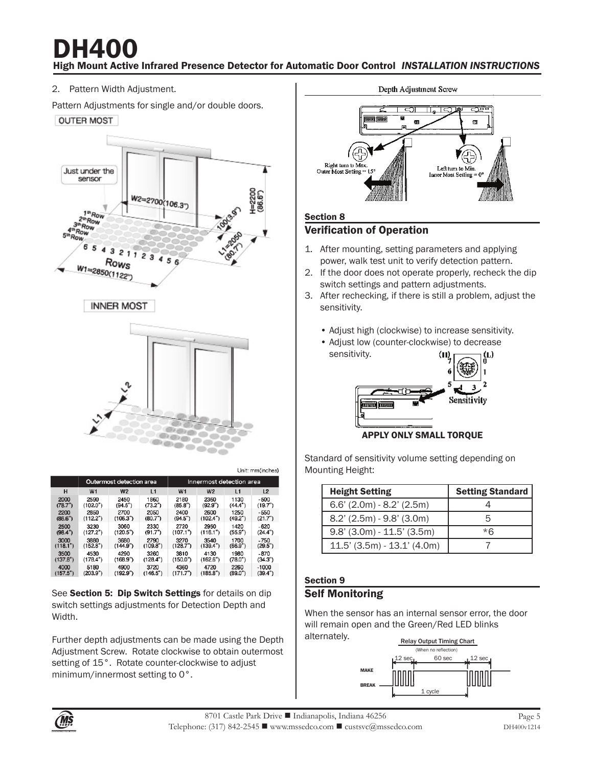High Mount Active Infrared Presence Detector for Automatic Door Control *INSTALLATION INSTRUCTIONS* DH40

2. Pattern Width Adjustment.

Pattern Adjustments for single and/or double doors.







Outermost detection area Innermost detection area  $H$  $W<sub>1</sub>$  $W<sup>2</sup>$  $W<sub>1</sub>$  $W<sub>2</sub>$  $L<sub>2</sub>$  $L1$  $L1$  $2450$ <br>(94.5") 1860<br>(73.2")  $^{2180}_{(85.8)}$  $1130$ <br>(44.4")  $2000$ <br>(78.7")  $2590$ <br>(102.0") 2360<br>(92.9")  $-500$ <br>(19.7")  $2400$ <br>(94.5") 1250  $\frac{2200}{(86.6")}$ 2700 2600<br>(102.4") 2850 2050  $-550$ <br>(21.7")  $(112.2")$  $(106.3")$  $(80.7")$  $(49.2")$  $\frac{2500}{(98.4)}$  $3230$ <br>(127.2")  $3060$ <br>(120.5")  $2330$ <br>(91.7")  $2720$ <br>(107.1")  $2950$ <br>(116.1")  $1420$ <br>(55.9")  $-620$  $(24.4")$  $3000$ <br>(118.1") 3880<br>(152.8") 2790<br>(109.8") 3270<br>(128.7") 3540<br>(139.4")  $1700$ <br>(66.9")  $-750$ <br>(29.5") 3680<br>(144.9") 1980  $3500$ <br>(137.8") 3260 3810 4530 4290 4130  $-870$  $(178.4)$  $(168.9")$  $(128.4")$  $(150.0")$  $(162.6")$  $(78.0")$  $(34.3")$ 5180<br>(203.9") 2260<br>(89.0")  $-1000$ <br>(39.4")  $4000$ <br>(157.5") 4900<br>(192.9") 3720<br>(146.5")  $4360$ <br>(171.7") 4720<br>(185.8")

See Section 5: Dip Switch Settings for details on dip switch settings adjustments for Detection Depth and Width.

Further depth adjustments can be made using the Depth Adjustment Screw. Rotate clockwise to obtain outermost setting of 15°. Rotate counter-clockwise to adjust minimum/innermost setting to 0°.



#### Section 8

#### Verification of Operation

- 1. After mounting, setting parameters and applying power, walk test unit to verify detection pattern.
- 2. If the door does not operate properly, recheck the dip switch settings and pattern adjustments.
- 3. After rechecking, if there is still a problem, adjust the sensitivity.
	- Adjust high (clockwise) to increase sensitivity.
	- Adjust low (counter-clockwise) to decrease sensitivity. ω (L)



APPLY ONLY SMALL TORQUE

Standard of sensitivity volume setting depending on Mounting Height:

| <b>Height Setting</b>           | Setting Standard |
|---------------------------------|------------------|
| $6.6'$ (2.0m) - 8.2' (2.5m)     |                  |
| 8.2' (2.5m) - 9.8' (3.0m)       |                  |
| $9.8'$ (3.0m) - 11.5' (3.5m)    | $*$ $\kappa$     |
| $11.5'$ (3.5m) - $13.1'$ (4.0m) |                  |

#### Section 9 Self Monitoring

When the sensor has an internal sensor error, the door will remain open and the Green/Red LED blinks alternately.





Unit: mm(inches)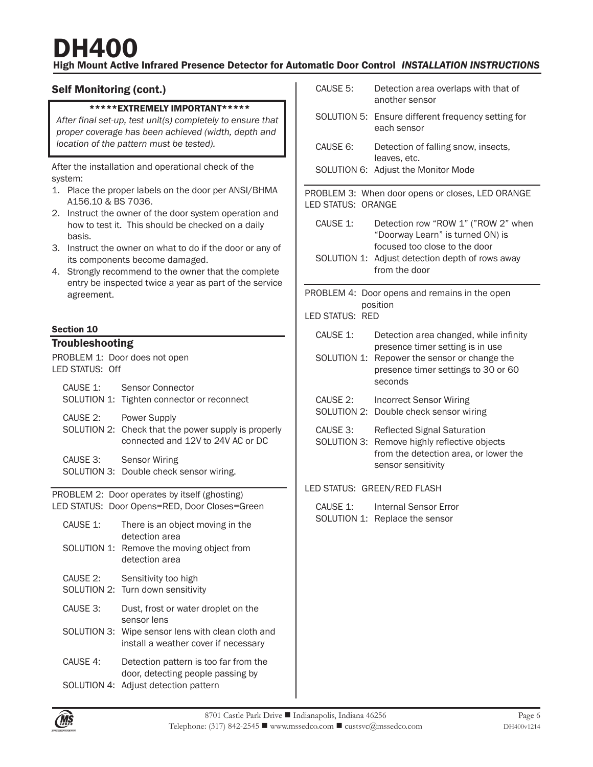#### High Mount Active Infrared Presence Detector for Automatic Door Control *INSTALLATION INSTRUCTIONS*

#### Self Monitoring (cont.)

#### \*\*\*\*\*EXTREMELY IMPORTANT\*\*\*\*\*

*After final set-up, test unit(s) completely to ensure that proper coverage has been achieved (width, depth and location of the pattern must be tested).*

After the installation and operational check of the system:

- 1. Place the proper labels on the door per ANSI/BHMA A156.10 & BS 7036.
- 2. Instruct the owner of the door system operation and how to test it. This should be checked on a daily basis.
- 3. Instruct the owner on what to do if the door or any of its components become damaged.
- 4. Strongly recommend to the owner that the complete entry be inspected twice a year as part of the service agreement.

#### Section 10

#### **Troubleshooting**

| PROBLEM 1: Door does not open<br>LED STATUS: Off                                               |                                                                                                          |  |
|------------------------------------------------------------------------------------------------|----------------------------------------------------------------------------------------------------------|--|
| CAUSE 1:                                                                                       | Sensor Connector<br>SOLUTION 1: Tighten connector or reconnect                                           |  |
| CAUSE 2:                                                                                       | Power Supply<br>SOLUTION 2: Check that the power supply is properly<br>connected and 12V to 24V AC or DC |  |
|                                                                                                | CAUSE 3: Sensor Wiring<br>SOLUTION 3: Double check sensor wiring.                                        |  |
| PROBLEM 2: Door operates by itself (ghosting)<br>LED STATUS: Door Opens=RED, Door Closes=Green |                                                                                                          |  |
| CAUSE 1:                                                                                       | There is an object moving in the<br>detection area                                                       |  |
|                                                                                                | SOLUTION 1: Remove the moving object from<br>detection area                                              |  |
| CAUSE 2:                                                                                       | Sensitivity too high<br>SOLUTION 2: Turn down sensitivity                                                |  |
| CAUSE 3:                                                                                       | Dust, frost or water droplet on the<br>sensor lens                                                       |  |
|                                                                                                | SOLUTION 3: Wipe sensor lens with clean cloth and<br>install a weather cover if necessary                |  |
| CAUSE 4:                                                                                       | Detection pattern is too far from the<br>door, detecting people passing by                               |  |
|                                                                                                | SOLUTION 4: Adjust detection pattern                                                                     |  |

| CAUSE 5:                                                               | Detection area overlaps with that of<br>another sensor                                                                                |  |
|------------------------------------------------------------------------|---------------------------------------------------------------------------------------------------------------------------------------|--|
|                                                                        | SOLUTION 5: Ensure different frequency setting for<br>each sensor                                                                     |  |
| CAUSE 6:                                                               | Detection of falling snow, insects,<br>leaves, etc.                                                                                   |  |
| SOLUTION 6:                                                            | Adjust the Monitor Mode                                                                                                               |  |
| PROBLEM 3: When door opens or closes, LED ORANGE<br>LED STATUS: ORANGE |                                                                                                                                       |  |
| CAUSE 1:                                                               | Detection row "ROW 1" ("ROW 2" when<br>"Doorway Learn" is turned ON) is<br>focused too close to the door                              |  |
| SOLUTION 1:                                                            | Adjust detection depth of rows away<br>from the door                                                                                  |  |
| PROBLEM 4:                                                             | Door opens and remains in the open                                                                                                    |  |
| LED STATUS:<br>RED                                                     | position                                                                                                                              |  |
| CAUSE 1:                                                               | Detection area changed, while infinity<br>presence timer setting is in use                                                            |  |
| SOLUTION 1:                                                            | Repower the sensor or change the<br>presence timer settings to 30 or 60<br>seconds                                                    |  |
| CAUSE 2:                                                               | <b>Incorrect Sensor Wiring</b><br>SOLUTION 2: Double check sensor wiring                                                              |  |
| CAUSE 3:<br>SOLUTION 3:                                                | <b>Reflected Signal Saturation</b><br>Remove highly reflective objects<br>from the detection area, or lower the<br>sensor sensitivity |  |
| LED STATUS: GREEN/RED FLASH                                            |                                                                                                                                       |  |
| CAUSE 1:<br>SOLUTION 1:                                                | <b>Internal Sensor Error</b><br>Replace the sensor                                                                                    |  |
|                                                                        |                                                                                                                                       |  |
|                                                                        |                                                                                                                                       |  |
|                                                                        |                                                                                                                                       |  |
|                                                                        |                                                                                                                                       |  |
|                                                                        |                                                                                                                                       |  |
|                                                                        |                                                                                                                                       |  |